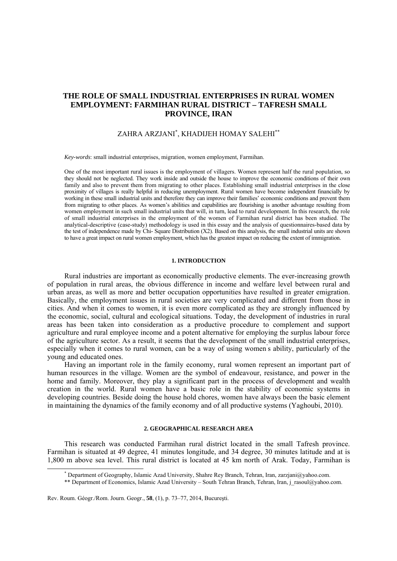## **THE ROLE OF SMALL INDUSTRIAL ENTERPRISES IN RURAL WOMEN EMPLOYMENT: FARMIHAN RURAL DISTRICT – TAFRESH SMALL PROVINCE, IRAN**

# ZAHRA ARZJANI\* , KHADIJEH HOMAY SALEHI\*\*

*Key-words*: small industrial enterprises, migration, women employment, Farmihan.

One of the most important rural issues is the employment of villagers. Women represent half the rural population, so they should not be neglected. They work inside and outside the house to improve the economic conditions of their own family and also to prevent them from migrating to other places. Establishing small industrial enterprises in the close proximity of villages is really helpful in reducing unemployment. Rural women have become independent financially by working in these small industrial units and therefore they can improve their families' economic conditions and prevent them from migrating to other places. As women's abilities and capabilities are flourishing is another advantage resulting from women employment in such small industrial units that will, in turn, lead to rural development. In this research, the role of small industrial enterprises in the employment of the women of Farmihan rural district has been studied. The analytical-descriptive (case-study) methodology is used in this essay and the analysis of questionnaires-based data by the test of independence made by Chi- Square Distribution (X2). Based on this analysis, the small industrial units are shown to have a great impact on rural women employment, which has the greatest impact on reducing the extent of immigration.

## **1. INTRODUCTION**

Rural industries are important as economically productive elements. The ever-increasing growth of population in rural areas, the obvious difference in income and welfare level between rural and urban areas, as well as more and better occupation opportunities have resulted in greater emigration. Basically, the employment issues in rural societies are very complicated and different from those in cities. And when it comes to women, it is even more complicated as they are strongly influenced by the economic, social, cultural and ecological situations. Today, the development of industries in rural areas has been taken into consideration as a productive procedure to complement and support agriculture and rural employee income and a potent alternative for employing the surplus labour force of the agriculture sector. As a result, it seems that the development of the small industrial enterprises, especially when it comes to rural women, can be a way of using women's ability, particularly of the young and educated ones.

Having an important role in the family economy, rural women represent an important part of human resources in the village. Women are the symbol of endeavour, resistance, and power in the home and family. Moreover, they play a significant part in the process of development and wealth creation in the world. Rural women have a basic role in the stability of economic systems in developing countries. Beside doing the house hold chores, women have always been the basic element in maintaining the dynamics of the family economy and of all productive systems (Yaghoubi, 2010).

### **2. GEOGRAPHICAL RESEARCH AREA**

This research was conducted Farmihan rural district located in the small Tafresh province. Farmihan is situated at 49 degree, 41 minutes longitude, and 34 degree, 30 minutes latitude and at is 1,800 m above sea level. This rural district is located at 45 km north of Arak. Today, Farmihan is

Rev. Roum. Géogr./Rom. Journ. Geogr., **58**, (1), p. 73–77, 2014, Bucureşti.

 $\overline{\phantom{a}}$ Department of Geography, Islamic Azad University, Shahre Rey Branch, Tehran, Iran, zarzjani@yahoo.com.

<sup>\*\*</sup> Department of Economics, Islamic Azad University – South Tehran Branch, Tehran, Iran, j\_rasoul@yahoo.com.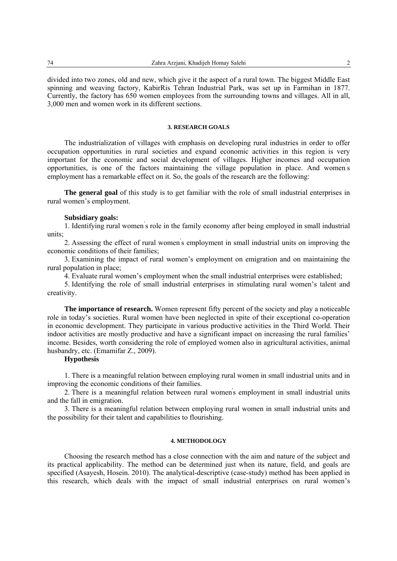divided into two zones, old and new, which give it the aspect of a rural town. The biggest Middle East spinning and weaving factory, KabirRis Tehran Industrial Park, was set up in Farmihan in 1877. Currently, the factory has 650 women employees from the surrounding towns and villages. All in all, 3,000 men and women work in its different sections.

## **3. RESEARCH GOALS**

The industrialization of villages with emphasis on developing rural industries in order to offer occupation opportunities in rural societies and expand economic activities in this region is very important for the economic and social development of villages. Higher incomes and occupation opportunities, is one of the factors maintaining the village population in place. And women' s employment has a remarkable effect on it. So, the goals of the research are the following:

**The general goal** of this study is to get familiar with the role of small industrial enterprises in rural women's employment.

### **Subsidiary goals:**

1. Identifying rural women' s role in the family economy after being employed in small industrial units;

2. Assessing the effect of rural women' s employment in small industrial units on improving the economic conditions of their families;

3. Examining the impact of rural women's employment on emigration and on maintaining the rural population in place;

4. Evaluate rural women's employment when the small industrial enterprises were established;

5. Identifying the role of small industrial enterprises in stimulating rural women's talent and creativity.

**The importance of research.** Women represent fifty percent of the society and play a noticeable role in today's societies. Rural women have been neglected in spite of their exceptional co-operation in economic development. They participate in various productive activities in the Third World. Their indoor activities are mostly productive and have a significant impact on increasing the rural families' income. Besides, worth considering the role of employed women also in agricultural activities, animal husbandry, etc. (Emamifar Z., 2009).

## **Hypothesis**

1. There is a meaningful relation between employing rural women in small industrial units and in improving the economic conditions of their families.

2. There is a meaningful relation between rural women' s employment in small industrial units and the fall in emigration.

3. There is a meaningful relation between employing rural women in small industrial units and the possibility for their talent and capabilities to flourishing.

## **4. METHODOLOGY**

Choosing the research method has a close connection with the aim and nature of the subject and its practical applicability. The method can be determined just when its nature, field, and goals are specified (Asayesh, Hosein. 2010). The analytical-descriptive (case-study) method has been applied in this research, which deals with the impact of small industrial enterprises on rural women's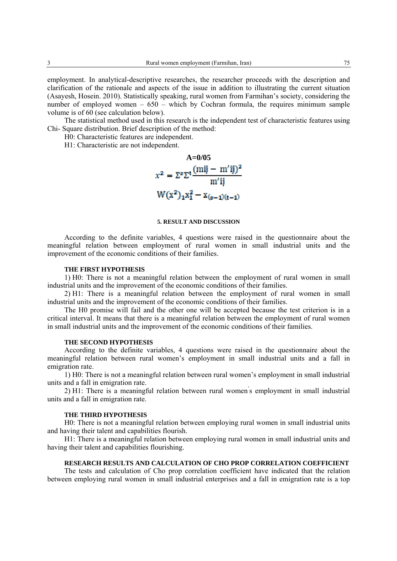employment. In analytical-descriptive researches, the researcher proceeds with the description and clarification of the rationale and aspects of the issue in addition to illustrating the current situation (Asayesh, Hosein. 2010). Statistically speaking, rural women from Farmihan's society, considering the number of employed women – 650 – which by Cochran formula, the requires minimum sample volume is of 60 (see calculation below).

The statistical method used in this research is the independent test of characteristic features using Chi- Square distribution. Brief description of the method:

H0: Characteristic features are independent.

H1: Characteristic are not independent.



#### **5. RESULT AND DISCUSSION**

According to the definite variables, 4 questions were raised in the questionnaire about the meaningful relation between employment of rural women in small industrial units and the improvement of the economic conditions of their families.

#### **THE FIRST HYPOTHESIS**

1) H0: There is not a meaningful relation between the employment of rural women in small industrial units and the improvement of the economic conditions of their families.

2) H1: There is a meaningful relation between the employment of rural women in small industrial units and the improvement of the economic conditions of their families.

The H0 promise will fail and the other one will be accepted because the test criterion is in a critical interval. It means that there is a meaningful relation between the employment of rural women in small industrial units and the improvement of the economic conditions of their families.

#### **THE SECOND HYPOTHESIS**

According to the definite variables, 4 questions were raised in the questionnaire about the meaningful relation between rural women's employment in small industrial units and a fall in emigration rate.

1) H0: There is not a meaningful relation between rural women's employment in small industrial units and a fall in emigration rate.

2) H1: There is a meaningful relation between rural women' s employment in small industrial units and a fall in emigration rate.

#### **THE THIRD HYPOTHESIS**

H0: There is not a meaningful relation between employing rural women in small industrial units and having their talent and capabilities flourish.

H1: There is a meaningful relation between employing rural women in small industrial units and having their talent and capabilities flourishing.

## **RESEARCH RESULTS AND CALCULATION OF CHO PROP CORRELATION COEFFICIENT**

The tests and calculation of Cho prop correlation coefficient have indicated that the relation between employing rural women in small industrial enterprises and a fall in emigration rate is a top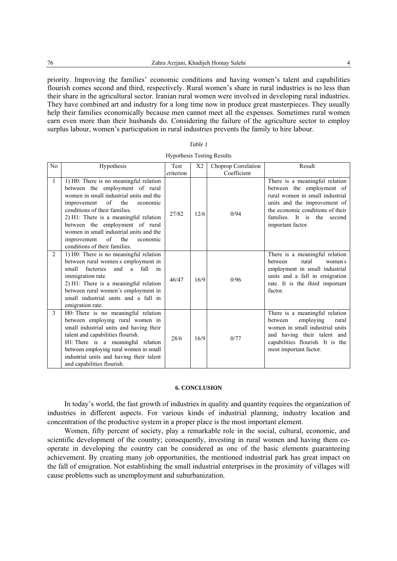priority. Improving the families' economic conditions and having women's talent and capabilities flourish comes second and third, respectively. Rural women's share in rural industries is no less than their share in the agricultural sector. Iranian rural women were involved in developing rural industries. They have combined art and industry for a long time now in produce great masterpieces. They usually help their families economically because men cannot meet all the expenses. Sometimes rural women earn even more than their husbands do. Considering the failure of the agriculture sector to employ surplus labour, women's participation in rural industries prevents the family to hire labour.

| ,,,,<br>, |
|-----------|
|-----------|

| N <sub>0</sub> | Hypothesis                                                                                                                                                                                                                                                                                                                                                                                                  | Test      | X2   | Choprop Correlation | Result                                                                                                                                                                                                                      |
|----------------|-------------------------------------------------------------------------------------------------------------------------------------------------------------------------------------------------------------------------------------------------------------------------------------------------------------------------------------------------------------------------------------------------------------|-----------|------|---------------------|-----------------------------------------------------------------------------------------------------------------------------------------------------------------------------------------------------------------------------|
|                |                                                                                                                                                                                                                                                                                                                                                                                                             | criterion |      | Coefficient         |                                                                                                                                                                                                                             |
| $\mathbf{1}$   | $\overline{1}$ ) H0: There is no meaningful relation<br>between the employment of rural<br>women in small industrial units and the<br>of<br>the<br>improvement<br>economic<br>conditions of their families.<br>2) H1: There is a meaningful relation<br>between the employment of rural<br>women in small industrial units and the<br>of<br>the<br>improvement<br>economic<br>conditions of their families. | 27/82     | 12/6 | 0/94                | There is a meaningful relation<br>between the employment of<br>rural women in small industrial<br>units and the improvement of<br>the economic conditions of their<br>families. It is<br>the<br>second<br>important factor. |
| $\overline{2}$ | 1) H0: There is no meaningful relation<br>between rural women's employment in<br>factories<br>a fall<br>small<br>and<br>$\mathbf{in}$<br>immigration rate.<br>2) H1: There is a meaningful relation<br>between rural women's employment in<br>small industrial units and a fall in<br>emigration rate.                                                                                                      | 46/47     | 16/9 | 0/96                | There is a meaningful relation<br>rural<br>hetween<br>women s<br>employment in small industrial<br>units and a fall in emigration<br>rate. It is the third important<br>factor.                                             |
| 3              | H0: There is no meaningful relation<br>between employing rural women in<br>small industrial units and having their<br>talent and capabilities flourish.<br>H1: There is a meaningful relation<br>between employing rural women in small<br>industrial units and having their talent<br>and capabilities flourish.                                                                                           | 28/6      | 16/9 | 0/77                | There is a meaningful relation<br>employing<br>between<br>rural<br>women in small industrial units<br>and having their talent and<br>capabilities flourish. It is the<br>most important factor.                             |

#### **6. CONCLUSION**

In today's world, the fast growth of industries in quality and quantity requires the organization of industries in different aspects. For various kinds of industrial planning, industry location and concentration of the productive system in a proper place is the most important element.

Women, fifty percent of society, play a remarkable role in the social, cultural, economic, and scientific development of the country; consequently, investing in rural women and having them cooperate in developing the country can be considered as one of the basic elements guaranteeing achievement. By creating many job opportunities, the mentioned industrial park has great impact on the fall of emigration. Not establishing the small industrial enterprises in the proximity of villages will cause problems such as unemployment and suburbanization.